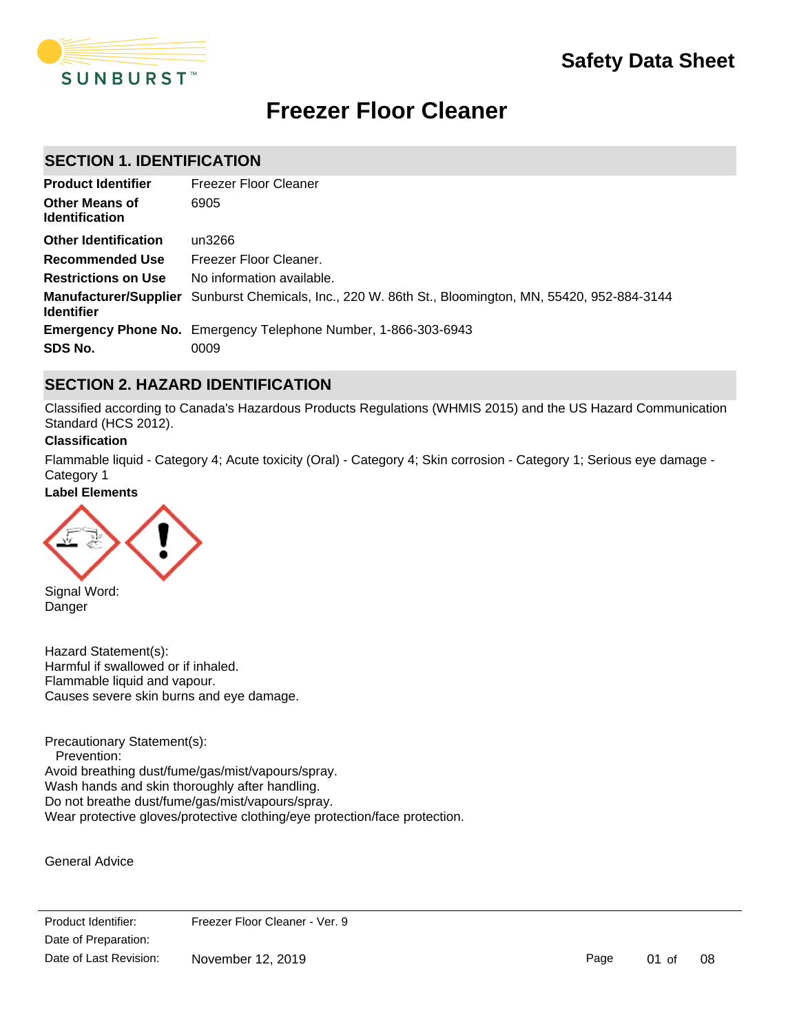

# **Freezer Floor Cleaner**

# **SECTION 1. IDENTIFICATION**

| <b>Product Identifier</b>                      | Freezer Floor Cleaner                                                                                        |
|------------------------------------------------|--------------------------------------------------------------------------------------------------------------|
| <b>Other Means of</b><br><b>Identification</b> | 6905                                                                                                         |
| <b>Other Identification</b>                    | un3266                                                                                                       |
| <b>Recommended Use</b>                         | Freezer Floor Cleaner.                                                                                       |
| <b>Restrictions on Use</b>                     | No information available.                                                                                    |
| <b>Identifier</b>                              | <b>Manufacturer/Supplier</b> Sunburst Chemicals, Inc., 220 W. 86th St., Bloomington, MN, 55420, 952-884-3144 |
|                                                | <b>Emergency Phone No.</b> Emergency Telephone Number, 1-866-303-6943                                        |
| SDS No.                                        | 0009                                                                                                         |

# **SECTION 2. HAZARD IDENTIFICATION**

Classified according to Canada's Hazardous Products Regulations (WHMIS 2015) and the US Hazard Communication Standard (HCS 2012).

#### **Classification**

Flammable liquid - Category 4; Acute toxicity (Oral) - Category 4; Skin corrosion - Category 1; Serious eye damage - Category 1

#### **Label Elements**



Signal Word: Danger

Hazard Statement(s): Harmful if swallowed or if inhaled. Flammable liquid and vapour. Causes severe skin burns and eye damage.

Precautionary Statement(s): Prevention: Avoid breathing dust/fume/gas/mist/vapours/spray. Wash hands and skin thoroughly after handling. Do not breathe dust/fume/gas/mist/vapours/spray. Wear protective gloves/protective clothing/eye protection/face protection.

General Advice

Product Identifier: Date of Preparation: **Remove contact lenses, in the several minutes.** Remove contact lenses, if  $p$ Date of Last Revision: Date of Last Revision: Christopher 12, 2019 Freezer Floor Cleaner - Ver. 9

Page 01 of 08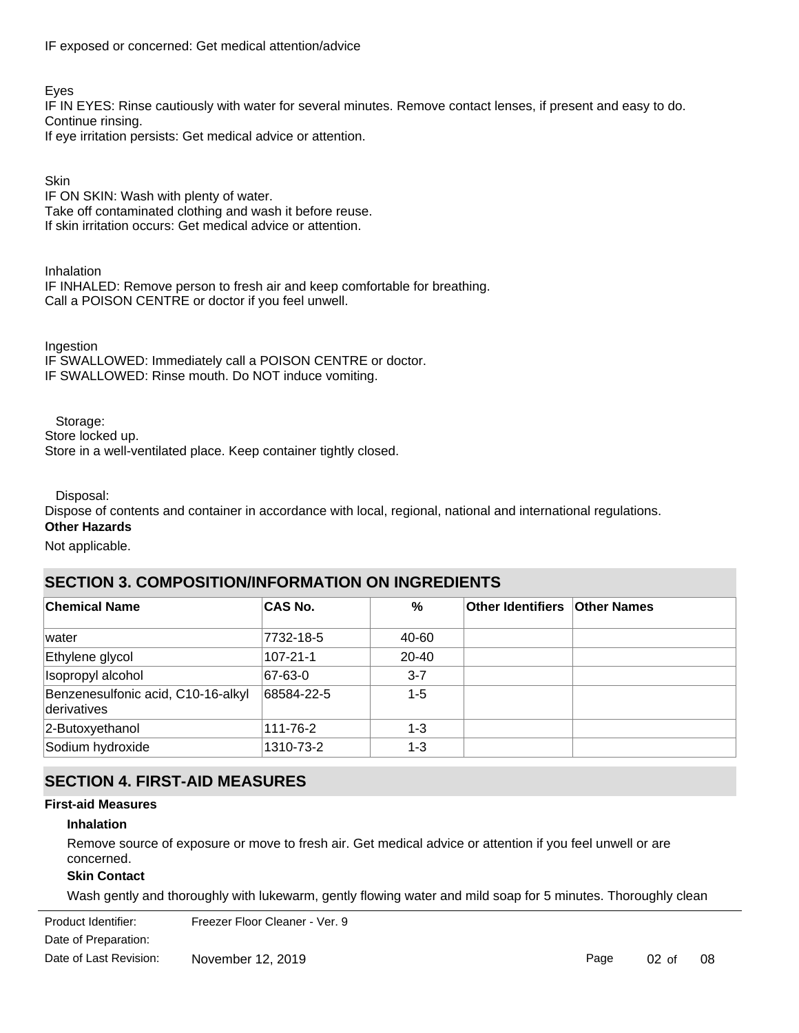IF exposed or concerned: Get medical attention/advice

Eyes

IF IN EYES: Rinse cautiously with water for several minutes. Remove contact lenses, if present and easy to do. Continue rinsing.

If eye irritation persists: Get medical advice or attention.

**Skin** 

IF ON SKIN: Wash with plenty of water. Take off contaminated clothing and wash it before reuse. If skin irritation occurs: Get medical advice or attention.

Inhalation IF INHALED: Remove person to fresh air and keep comfortable for breathing. Call a POISON CENTRE or doctor if you feel unwell.

Ingestion IF SWALLOWED: Immediately call a POISON CENTRE or doctor. IF SWALLOWED: Rinse mouth. Do NOT induce vomiting.

Storage:

Store locked up.

Store in a well-ventilated place. Keep container tightly closed.

Disposal:

Dispose of contents and container in accordance with local, regional, national and international regulations.

#### **Other Hazards**

Not applicable.

# **SECTION 3. COMPOSITION/INFORMATION ON INGREDIENTS**

| <b>Chemical Name</b>                              | <b>CAS No.</b> | %         | <b>Other Identifiers Other Names</b> |  |
|---------------------------------------------------|----------------|-----------|--------------------------------------|--|
| lwater                                            | 7732-18-5      | 40-60     |                                      |  |
| Ethylene glycol                                   | 107-21-1       | $20 - 40$ |                                      |  |
| Isopropyl alcohol                                 | 67-63-0        | $3 - 7$   |                                      |  |
| Benzenesulfonic acid, C10-16-alkyl<br>derivatives | 68584-22-5     | $1 - 5$   |                                      |  |
| 2-Butoxyethanol                                   | 111-76-2       | $1 - 3$   |                                      |  |
| Sodium hydroxide                                  | 1310-73-2      | $1 - 3$   |                                      |  |

# **SECTION 4. FIRST-AID MEASURES**

# **First-aid Measures**

# **Inhalation**

Remove source of exposure or move to fresh air. Get medical advice or attention if you feel unwell or are concerned.

# **Skin Contact**

Wash gently and thoroughly with lukewarm, gently flowing water and mild soap for 5 minutes. Thoroughly clean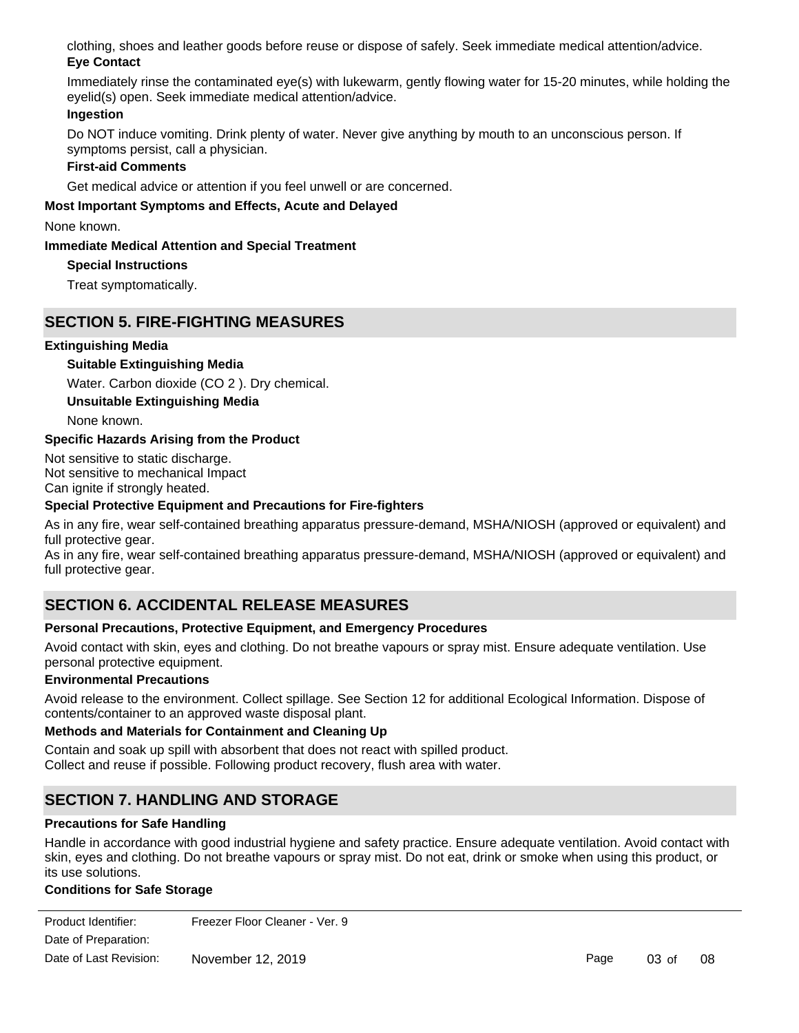clothing, shoes and leather goods before reuse or dispose of safely. Seek immediate medical attention/advice. **Eye Contact**

Immediately rinse the contaminated eye(s) with lukewarm, gently flowing water for 15-20 minutes, while holding the eyelid(s) open. Seek immediate medical attention/advice.

# **Ingestion**

Do NOT induce vomiting. Drink plenty of water. Never give anything by mouth to an unconscious person. If symptoms persist, call a physician.

# **First-aid Comments**

Get medical advice or attention if you feel unwell or are concerned.

# **Most Important Symptoms and Effects, Acute and Delayed**

None known.

# **Immediate Medical Attention and Special Treatment**

# **Special Instructions**

Treat symptomatically.

# **SECTION 5. FIRE-FIGHTING MEASURES**

# **Extinguishing Media**

**Suitable Extinguishing Media**

Water. Carbon dioxide (CO 2 ). Dry chemical.

**Unsuitable Extinguishing Media**

None known.

# **Specific Hazards Arising from the Product**

Not sensitive to static discharge. Not sensitive to mechanical Impact Can ignite if strongly heated.

# **Special Protective Equipment and Precautions for Fire-fighters**

As in any fire, wear self-contained breathing apparatus pressure-demand, MSHA/NIOSH (approved or equivalent) and full protective gear.

As in any fire, wear self-contained breathing apparatus pressure-demand, MSHA/NIOSH (approved or equivalent) and full protective gear.

# **SECTION 6. ACCIDENTAL RELEASE MEASURES**

# **Personal Precautions, Protective Equipment, and Emergency Procedures**

Avoid contact with skin, eyes and clothing. Do not breathe vapours or spray mist. Ensure adequate ventilation. Use personal protective equipment.

# **Environmental Precautions**

Avoid release to the environment. Collect spillage. See Section 12 for additional Ecological Information. Dispose of contents/container to an approved waste disposal plant.

# **Methods and Materials for Containment and Cleaning Up**

Contain and soak up spill with absorbent that does not react with spilled product. Collect and reuse if possible. Following product recovery, flush area with water.

# **SECTION 7. HANDLING AND STORAGE**

# **Precautions for Safe Handling**

Handle in accordance with good industrial hygiene and safety practice. Ensure adequate ventilation. Avoid contact with skin, eyes and clothing. Do not breathe vapours or spray mist. Do not eat, drink or smoke when using this product, or its use solutions.

# **Conditions for Safe Storage**

| Product Identifier:    | Freezer Floor Cleaner - Ver. 9 |      |
|------------------------|--------------------------------|------|
| Date of Preparation:   |                                |      |
| Date of Last Revision: | November 12, 2019              | Page |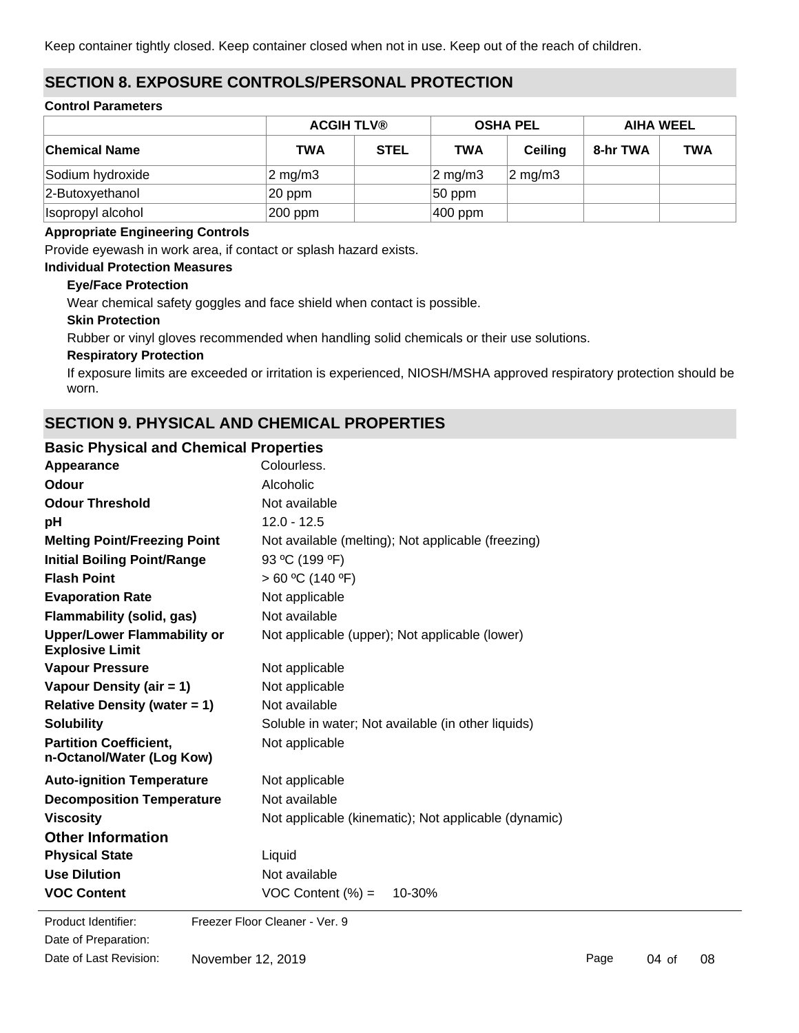Keep container tightly closed. Keep container closed when not in use. Keep out of the reach of children.

# **SECTION 8. EXPOSURE CONTROLS/PERSONAL PROTECTION**

#### **Control Parameters**

|                      |                  | <b>ACGIH TLV®</b> |                  | <b>OSHA PEL</b>  | <b>AIHA WEEL</b> |            |
|----------------------|------------------|-------------------|------------------|------------------|------------------|------------|
| <b>Chemical Name</b> | <b>TWA</b>       | <b>STEL</b>       | <b>TWA</b>       | <b>Ceiling</b>   | 8-hr TWA         | <b>TWA</b> |
| Sodium hydroxide     | $2 \text{ mg/m}$ |                   | $\sqrt{2}$ mg/m3 | $2 \text{ mg/m}$ |                  |            |
| 2-Butoxyethanol      | 20 ppm           |                   | $ 50$ ppm        |                  |                  |            |
| Isopropyl alcohol    | 200 ppm          |                   | $ 400$ ppm       |                  |                  |            |

#### **Appropriate Engineering Controls**

Provide eyewash in work area, if contact or splash hazard exists.

#### **Individual Protection Measures**

#### **Eye/Face Protection**

Wear chemical safety goggles and face shield when contact is possible.

#### **Skin Protection**

Rubber or vinyl gloves recommended when handling solid chemicals or their use solutions.

#### **Respiratory Protection**

If exposure limits are exceeded or irritation is experienced, NIOSH/MSHA approved respiratory protection should be worn.

# **SECTION 9. PHYSICAL AND CHEMICAL PROPERTIES**

#### **Basic Physical and Chemical Properties**

| Appearance                                                   | Colourless.                                          |
|--------------------------------------------------------------|------------------------------------------------------|
| Odour                                                        | Alcoholic                                            |
| <b>Odour Threshold</b>                                       | Not available                                        |
| рH                                                           | $12.0 - 12.5$                                        |
| <b>Melting Point/Freezing Point</b>                          | Not available (melting); Not applicable (freezing)   |
| <b>Initial Boiling Point/Range</b>                           | 93 °C (199 °F)                                       |
| <b>Flash Point</b>                                           | > 60 °C (140 °F)                                     |
| <b>Evaporation Rate</b>                                      | Not applicable                                       |
| <b>Flammability (solid, gas)</b>                             | Not available                                        |
| <b>Upper/Lower Flammability or</b><br><b>Explosive Limit</b> | Not applicable (upper); Not applicable (lower)       |
| <b>Vapour Pressure</b>                                       | Not applicable                                       |
| Vapour Density (air = 1)                                     | Not applicable                                       |
| <b>Relative Density (water = 1)</b>                          | Not available                                        |
| <b>Solubility</b>                                            | Soluble in water; Not available (in other liquids)   |
| <b>Partition Coefficient,</b><br>n-Octanol/Water (Log Kow)   | Not applicable                                       |
| <b>Auto-ignition Temperature</b>                             | Not applicable                                       |
| <b>Decomposition Temperature</b>                             | Not available                                        |
| <b>Viscosity</b>                                             | Not applicable (kinematic); Not applicable (dynamic) |
| <b>Other Information</b>                                     |                                                      |
| <b>Physical State</b>                                        | Liquid                                               |
| <b>Use Dilution</b>                                          | Not available                                        |
| <b>VOC Content</b>                                           | VOC Content $(\%) =$<br>10-30%                       |

Date of Preparation: Product Identifier: Freezer Floor Cleaner - Ver. 9 Date of Last Revision: November 12, 2019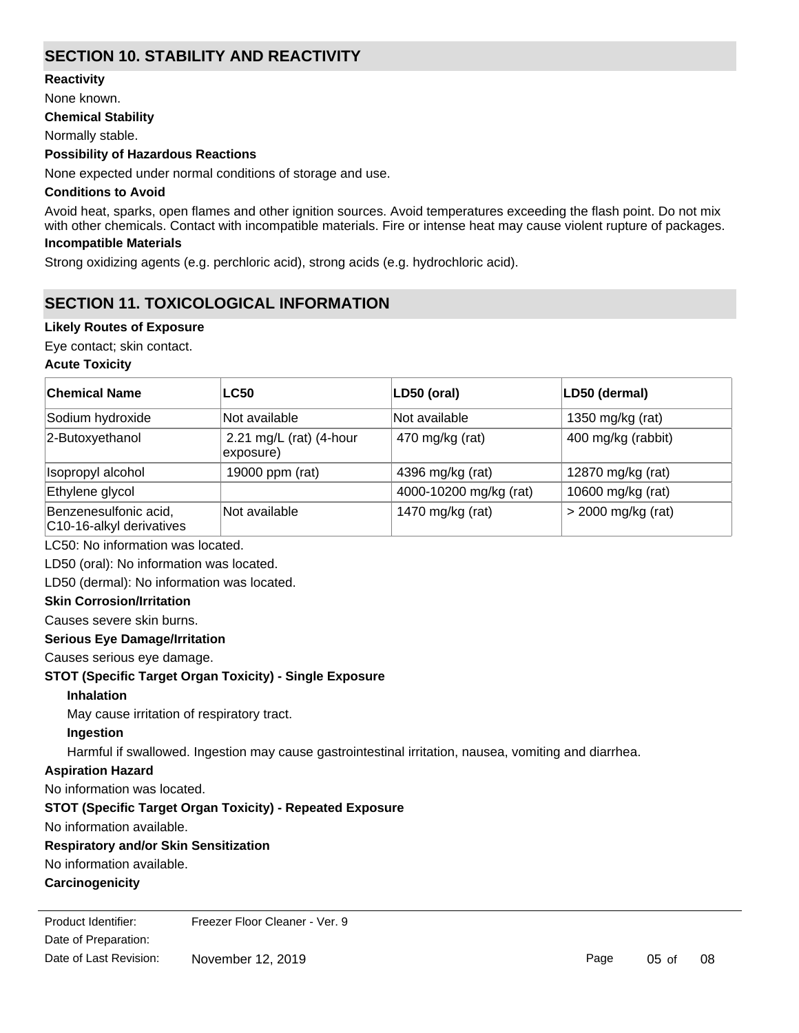# **SECTION 10. STABILITY AND REACTIVITY**

**Reactivity**

None known.

#### **Chemical Stability**

Normally stable.

#### **Possibility of Hazardous Reactions**

None expected under normal conditions of storage and use.

#### **Conditions to Avoid**

Avoid heat, sparks, open flames and other ignition sources. Avoid temperatures exceeding the flash point. Do not mix with other chemicals. Contact with incompatible materials. Fire or intense heat may cause violent rupture of packages. **Incompatible Materials**

Strong oxidizing agents (e.g. perchloric acid), strong acids (e.g. hydrochloric acid).

# **SECTION 11. TOXICOLOGICAL INFORMATION**

# **Likely Routes of Exposure**

Eye contact; skin contact.

#### **Acute Toxicity**

| <b>Chemical Name</b>                              | <b>LC50</b>                          | LD50 (oral)            | LD50 (dermal)        |
|---------------------------------------------------|--------------------------------------|------------------------|----------------------|
| Sodium hydroxide                                  | Not available                        | Not available          | 1350 mg/kg (rat)     |
| 2-Butoxyethanol                                   | 2.21 mg/L (rat) (4-hour<br>exposure) | 470 mg/kg (rat)        | 400 mg/kg (rabbit)   |
| Isopropyl alcohol                                 | 19000 ppm (rat)                      | 4396 mg/kg (rat)       | 12870 mg/kg (rat)    |
| Ethylene glycol                                   |                                      | 4000-10200 mg/kg (rat) | 10600 mg/kg (rat)    |
| Benzenesulfonic acid,<br>C10-16-alkyl derivatives | Not available                        | 1470 mg/kg (rat)       | $>$ 2000 mg/kg (rat) |

LC50: No information was located.

LD50 (oral): No information was located.

LD50 (dermal): No information was located.

#### **Skin Corrosion/Irritation**

Causes severe skin burns.

# **Serious Eye Damage/Irritation**

Causes serious eye damage.

# **STOT (Specific Target Organ Toxicity) - Single Exposure**

#### **Inhalation**

May cause irritation of respiratory tract.

# **Ingestion**

Harmful if swallowed. Ingestion may cause gastrointestinal irritation, nausea, vomiting and diarrhea.

# **Aspiration Hazard**

No information was located.

# **STOT (Specific Target Organ Toxicity) - Repeated Exposure**

No information available.

# **Respiratory and/or Skin Sensitization**

No information available.

# **Carcinogenicity**

Date of Preparation: Product Identifier: Freezer Floor Cleaner - Ver. 9 Date of Last Revision: November 12, 2019

Page 05 of 08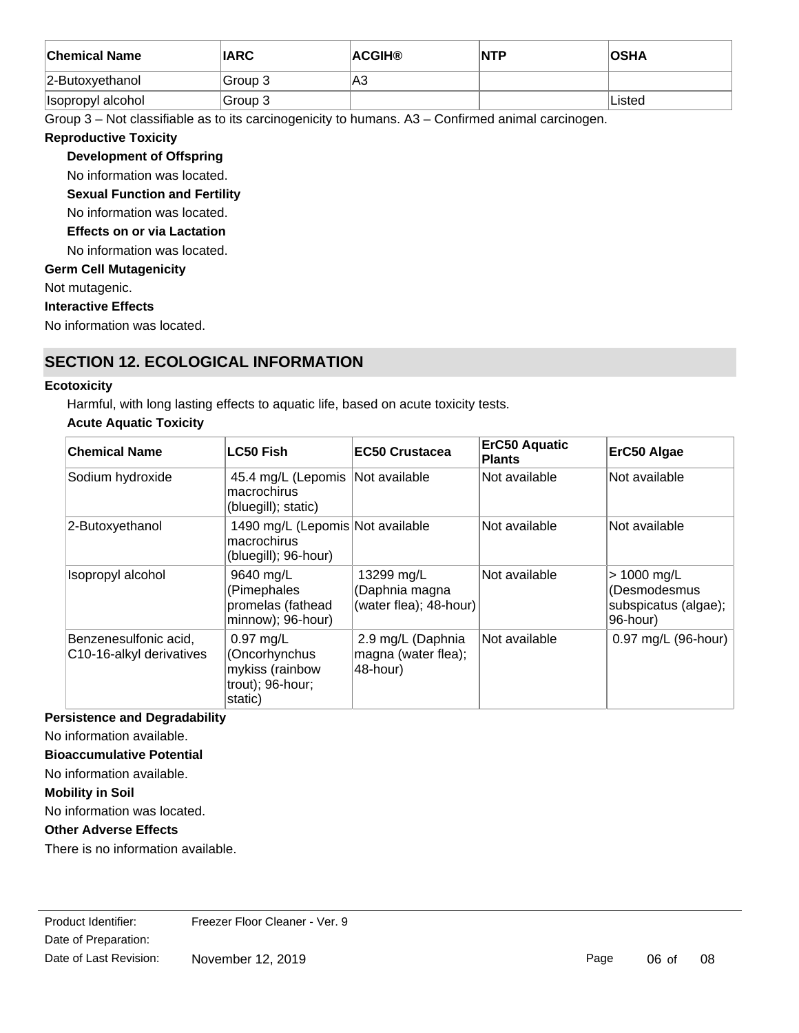| <b>Chemical Name</b> | <b>IARC</b> | <b>ACGIH®</b> | <b>NTP</b> | <b>OSHA</b> |
|----------------------|-------------|---------------|------------|-------------|
| $ 2$ -Butoxyethanol  | Group 3     | lA3           |            |             |
| Isopropyl alcohol    | Group 3     |               |            | Listed      |

Group 3 – Not classifiable as to its carcinogenicity to humans. A3 – Confirmed animal carcinogen.

# **Reproductive Toxicity**

# **Development of Offspring**

No information was located.

# **Sexual Function and Fertility**

No information was located.

#### **Effects on or via Lactation**

No information was located.

# **Germ Cell Mutagenicity**

Not mutagenic.

#### **Interactive Effects**

No information was located.

# **SECTION 12. ECOLOGICAL INFORMATION**

# **Ecotoxicity**

Harmful, with long lasting effects to aquatic life, based on acute toxicity tests.

# **Acute Aquatic Toxicity**

| <b>Chemical Name</b>                              | <b>LC50 Fish</b>                                                               | <b>EC50 Crustacea</b>                                  | <b>ErC50 Aquatic</b><br><b>Plants</b> | ErC50 Algae                                                     |
|---------------------------------------------------|--------------------------------------------------------------------------------|--------------------------------------------------------|---------------------------------------|-----------------------------------------------------------------|
| Sodium hydroxide                                  | 45.4 mg/L (Lepomis Not available<br>macrochirus<br>(bluegill); static)         |                                                        | Not available                         | Not available                                                   |
| 2-Butoxyethanol                                   | 1490 mg/L (Lepomis Not available<br>macrochirus<br>(bluegill); 96-hour)        |                                                        | Not available                         | Not available                                                   |
| Isopropyl alcohol                                 | 9640 mg/L<br>(Pimephales<br>promelas (fathead<br>minnow); 96-hour)             | 13299 mg/L<br>(Daphnia magna<br>(water flea); 48-hour) | Not available                         | > 1000 mg/L<br>(Desmodesmus<br>subspicatus (algae);<br>96-hour) |
| Benzenesulfonic acid,<br>C10-16-alkyl derivatives | $0.97$ mg/L<br>(Oncorhynchus<br>mykiss (rainbow<br>trout); 96-hour;<br>static) | 2.9 mg/L (Daphnia<br>magna (water flea);<br>48-hour)   | Not available                         | 0.97 mg/L (96-hour)                                             |

# **Persistence and Degradability**

No information available.

# **Bioaccumulative Potential**

No information available.

# **Mobility in Soil**

No information was located.

# **Other Adverse Effects**

There is no information available.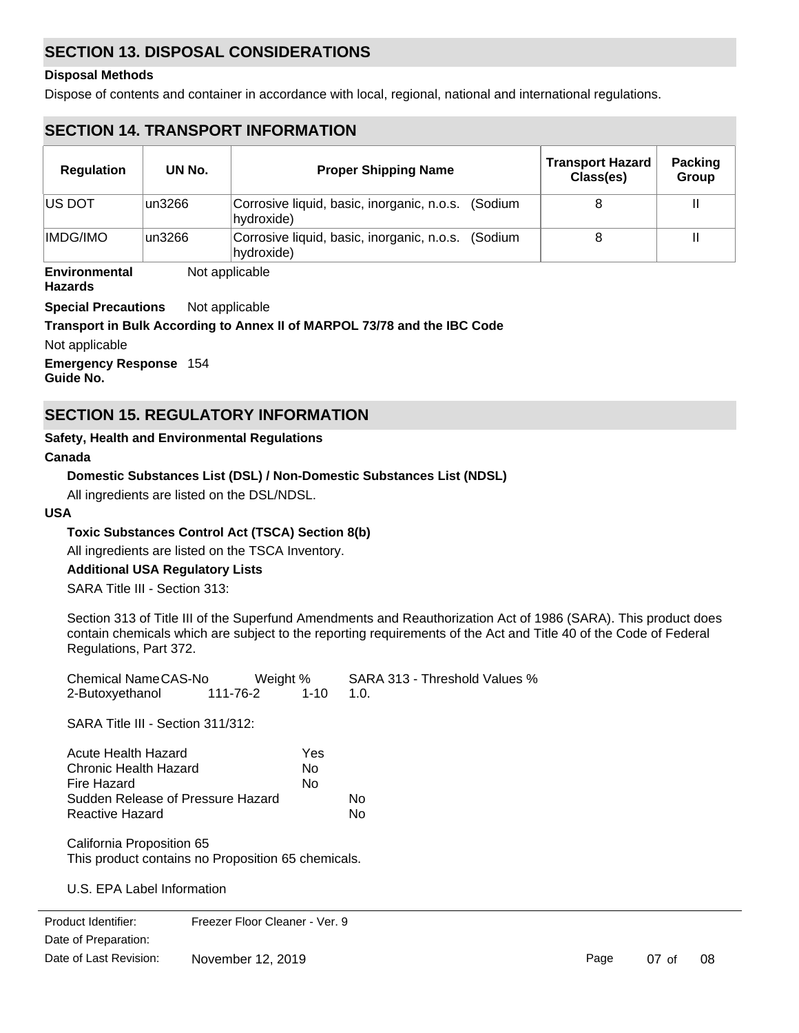# **SECTION 13. DISPOSAL CONSIDERATIONS**

#### **Disposal Methods**

Dispose of contents and container in accordance with local, regional, national and international regulations.

# **SECTION 14. TRANSPORT INFORMATION**

| <b>Regulation</b> | UN No.  | <b>Proper Shipping Name</b>                                      | <b>Transport Hazard</b><br>Class(es) | <b>Packing</b><br>Group |
|-------------------|---------|------------------------------------------------------------------|--------------------------------------|-------------------------|
| <b>IUS DOT</b>    | un3266  | Corrosive liquid, basic, inorganic, n.o.s. (Sodium<br>hydroxide) |                                      |                         |
| <b>IMDG/IMO</b>   | lun3266 | Corrosive liquid, basic, inorganic, n.o.s. (Sodium<br>hydroxide) |                                      |                         |

**Environmental** Not applicable

**Hazards**

**Special Precautions** Not applicable

#### **Transport in Bulk According to Annex II of MARPOL 73/78 and the IBC Code**

Not applicable

**Emergency Response** 154 **Guide No.**

# **SECTION 15. REGULATORY INFORMATION**

#### **Safety, Health and Environmental Regulations**

#### **Canada**

# **Domestic Substances List (DSL) / Non-Domestic Substances List (NDSL)**

All ingredients are listed on the DSL/NDSL.

#### **USA**

# **Toxic Substances Control Act (TSCA) Section 8(b)**

All ingredients are listed on the TSCA Inventory.

# **Additional USA Regulatory Lists**

SARA Title III - Section 313:

Section 313 of Title III of the Superfund Amendments and Reauthorization Act of 1986 (SARA). This product does contain chemicals which are subject to the reporting requirements of the Act and Title 40 of the Code of Federal Regulations, Part 372.

| Chemical NameCAS-No | Weight % |          | SARA 313 - Threshold Values % |
|---------------------|----------|----------|-------------------------------|
| 2-Butoxyethanol     | 111-76-2 | $1 - 10$ | 1 O                           |

SARA Title III - Section 311/312:

| Acute Health Hazard               | Yes |    |
|-----------------------------------|-----|----|
| Chronic Health Hazard             | Nο  |    |
| Fire Hazard                       | N٥  |    |
| Sudden Release of Pressure Hazard |     | N٥ |
| Reactive Hazard                   |     | N٥ |

California Proposition 65 This product contains no Proposition 65 chemicals.

U.S. EPA Label Information

Date of Preparation: Product Identifier: Freezer Floor Cleaner - Ver. 9 Date of Last Revision: November 12, 2019